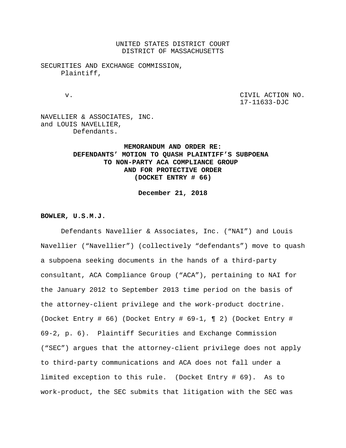UNITED STATES DISTRICT COURT DISTRICT OF MASSACHUSETTS

SECURITIES AND EXCHANGE COMMISSION, Plaintiff,

 v. CIVIL ACTION NO. 17-11633-DJC

NAVELLIER & ASSOCIATES, INC. and LOUIS NAVELLIER, Defendants.

# **MEMORANDUM AND ORDER RE: DEFENDANTS' MOTION TO QUASH PLAINTIFF'S SUBPOENA TO NON-PARTY ACA COMPLIANCE GROUP AND FOR PROTECTIVE ORDER (DOCKET ENTRY # 66)**

**December 21, 2018**

**BOWLER, U.S.M.J.**

Defendants Navellier & Associates, Inc. ("NAI") and Louis Navellier ("Navellier") (collectively "defendants") move to quash a subpoena seeking documents in the hands of a third-party consultant, ACA Compliance Group ("ACA"), pertaining to NAI for the January 2012 to September 2013 time period on the basis of the attorney-client privilege and the work-product doctrine. (Docket Entry # 66) (Docket Entry # 69-1, ¶ 2) (Docket Entry # 69-2, p. 6). Plaintiff Securities and Exchange Commission ("SEC") argues that the attorney-client privilege does not apply to third-party communications and ACA does not fall under a limited exception to this rule. (Docket Entry # 69). As to work-product, the SEC submits that litigation with the SEC was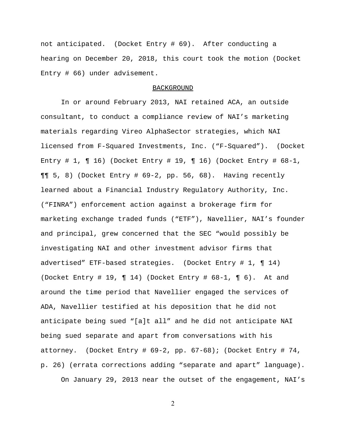not anticipated. (Docket Entry # 69). After conducting a hearing on December 20, 2018, this court took the motion (Docket Entry # 66) under advisement.

### BACKGROUND

In or around February 2013, NAI retained ACA, an outside consultant, to conduct a compliance review of NAI's marketing materials regarding Vireo AlphaSector strategies, which NAI licensed from F-Squared Investments, Inc. ("F-Squared"). (Docket Entry # 1,  $\P$  16) (Docket Entry # 19,  $\P$  16) (Docket Entry # 68-1,  $\P\P$  5, 8) (Docket Entry # 69-2, pp. 56, 68). Having recently learned about a Financial Industry Regulatory Authority, Inc. ("FINRA") enforcement action against a brokerage firm for marketing exchange traded funds ("ETF"), Navellier, NAI's founder and principal, grew concerned that the SEC "would possibly be investigating NAI and other investment advisor firms that advertised" ETF-based strategies. (Docket Entry # 1, ¶ 14) (Docket Entry # 19,  $\P$  14) (Docket Entry # 68-1,  $\P$  6). At and around the time period that Navellier engaged the services of ADA, Navellier testified at his deposition that he did not anticipate being sued "[a]t all" and he did not anticipate NAI being sued separate and apart from conversations with his attorney. (Docket Entry #  $69-2$ , pp.  $67-68$ ); (Docket Entry # 74, p. 26) (errata corrections adding "separate and apart" language).

On January 29, 2013 near the outset of the engagement, NAI's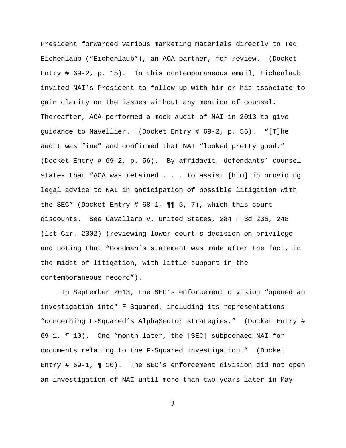President forwarded various marketing materials directly to Ted Eichenlaub ("Eichenlaub"), an ACA partner, for review. (Docket Entry # 69-2, p. 15). In this contemporaneous email, Eichenlaub invited NAI's President to follow up with him or his associate to gain clarity on the issues without any mention of counsel. Thereafter, ACA performed a mock audit of NAI in 2013 to give guidance to Navellier. (Docket Entry # 69-2, p. 56). "[T]he audit was fine" and confirmed that NAI "looked pretty good." (Docket Entry # 69-2, p. 56). By affidavit, defendants' counsel states that "ACA was retained . . . to assist [him] in providing legal advice to NAI in anticipation of possible litigation with the SEC" (Docket Entry # 68-1, ¶¶ 5, 7), which this court discounts. See Cavallaro v. United States, 284 F.3d 236, 248 (1st Cir. 2002) (reviewing lower court's decision on privilege and noting that "Goodman's statement was made after the fact, in the midst of litigation, with little support in the contemporaneous record").

In September 2013, the SEC's enforcement division "opened an investigation into" F-Squared, including its representations "concerning F-Squared's AlphaSector strategies." (Docket Entry # 69-1, ¶ 10). One "month later, the [SEC] subpoenaed NAI for documents relating to the F-Squared investigation." (Docket Entry # 69-1, ¶ 10). The SEC's enforcement division did not open an investigation of NAI until more than two years later in May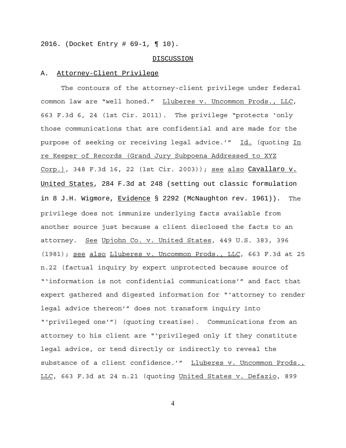2016. (Docket Entry # 69-1, ¶ 10).

#### DISCUSSION

#### A. Attorney-Client Privilege

The contours of the attorney-client privilege under federal common law are "well honed." Lluberes v. Uncommon Prods., LLC, 663 F.3d 6, 24 (1st Cir. 2011). The privilege "protects 'only those communications that are confidential and are made for the purpose of seeking or receiving legal advice.'" Id. (quoting In re Keeper of Records (Grand Jury Subpoena Addressed to XYZ Corp.), 348 F.3d 16, 22 (1st Cir. 2003)); see also Cavallaro v. United States, 284 F.3d at 248 (setting out classic formulation in 8 J.H. Wigmore, Evidence § 2292 (McNaughton rev. 1961)). The privilege does not immunize underlying facts available from another source just because a client disclosed the facts to an attorney. See Upjohn Co. v. United States, 449 U.S. 383, 396 (1981); see also Lluberes v. Uncommon Prods., LLC, 663 F.3d at 25 n.22 (factual inquiry by expert unprotected because source of "'information is not confidential communications'" and fact that expert gathered and digested information for "'attorney to render legal advice thereon'" does not transform inquiry into "'privileged one'") (quoting treatise). Communications from an attorney to his client are "'privileged only if they constitute legal advice, or tend directly or indirectly to reveal the substance of a client confidence.'" Lluberes v. Uncommon Prods., LLC, 663 F.3d at 24 n.21 (quoting United States v. Defazio, 899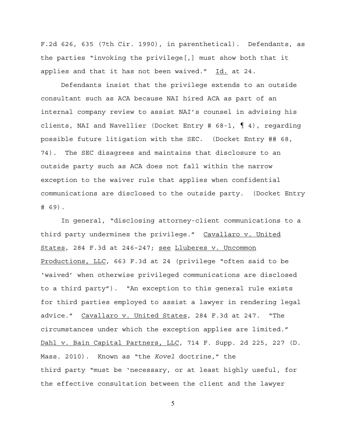F.2d 626, 635 (7th Cir. 1990), in parenthetical). Defendants, as the parties "invoking the privilege[,] must show both that it applies and that it has not been waived."  $Id.$  at 24.

Defendants insist that the privilege extends to an outside consultant such as ACA because NAI hired ACA as part of an internal company review to assist NAI's counsel in advising his clients, NAI and Navellier (Docket Entry #  $68-1$ ,  $\parallel$  4), regarding possible future litigation with the SEC. (Docket Entry ## 68, 74). The SEC disagrees and maintains that disclosure to an outside party such as ACA does not fall within the narrow exception to the waiver rule that applies when confidential communications are disclosed to the outside party. (Docket Entry # 69).

In general, "disclosing attorney-client communications to a third party undermines the privilege." Cavallaro v. United States, 284 F.3d at 246–247; see Lluberes v. Uncommon Productions, LLC, 663 F.3d at 24 (privilege "often said to be 'waived' when otherwise privileged communications are disclosed to a third party"). "An exception to this general rule exists for third parties employed to assist a lawyer in rendering legal advice." Cavallaro v. United States, 284 F.3d at 247. "The circumstances under which the exception applies are limited." Dahl v. Bain Capital Partners, LLC, 714 F. Supp. 2d 225, 227 (D. Mass. 2010). Known as "the *Kovel* doctrine," the third party "must be 'necessary, or at least highly useful, for the effective consultation between the client and the lawyer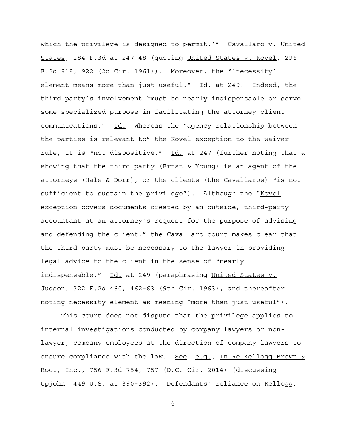which the privilege is designed to permit.'" Cavallaro v. United States, 284 F.3d at 247-48 (quoting United States v. Kovel, 296 F.2d 918, 922 (2d Cir. 1961)). Moreover, the "'necessity' element means more than just useful." Id. at 249. Indeed, the third party's involvement "must be nearly indispensable or serve some specialized purpose in facilitating the attorney-client communications." Id. Whereas the "agency relationship between the parties is relevant to" the Kovel exception to the waiver rule, it is "not dispositive." Id. at 247 (further noting that a showing that the third party (Ernst & Young) is an agent of the attorneys (Hale & Dorr), or the clients (the Cavallaros) "is not sufficient to sustain the privilege"). Although the "Kovel exception covers documents created by an outside, third-party accountant at an attorney's request for the purpose of advising and defending the client," the Cavallaro court makes clear that the third-party must be necessary to the lawyer in providing legal advice to the client in the sense of "nearly indispensable." Id. at 249 (paraphrasing United States v. Judson, 322 F.2d 460, 462-63 (9th Cir. 1963), and thereafter noting necessity element as meaning "more than just useful").

This court does not dispute that the privilege applies to internal investigations conducted by company lawyers or nonlawyer, company employees at the direction of company lawyers to ensure compliance with the law. See, e.g., In Re Kellogg Brown & Root, Inc., 756 F.3d 754, 757 (D.C. Cir. 2014) (discussing Upjohn, 449 U.S. at 390-392). Defendants' reliance on Kellogg,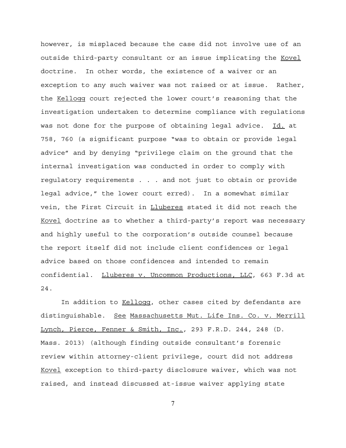however, is misplaced because the case did not involve use of an outside third-party consultant or an issue implicating the Kovel doctrine. In other words, the existence of a waiver or an exception to any such waiver was not raised or at issue. Rather, the Kellogg court rejected the lower court's reasoning that the investigation undertaken to determine compliance with regulations was not done for the purpose of obtaining legal advice. Id. at 758, 760 (a significant purpose "was to obtain or provide legal advice" and by denying "privilege claim on the ground that the internal investigation was conducted in order to comply with regulatory requirements . . . and not just to obtain or provide legal advice," the lower court erred). In a somewhat similar vein, the First Circuit in Lluberes stated it did not reach the Kovel doctrine as to whether a third-party's report was necessary and highly useful to the corporation's outside counsel because the report itself did not include client confidences or legal advice based on those confidences and intended to remain confidential. Lluberes v. Uncommon Productions, LLC, 663 F.3d at 24.

In addition to Kellogg, other cases cited by defendants are distinguishable. See Massachusetts Mut. Life Ins. Co. v. Merrill Lynch, Pierce, Fenner & Smith, Inc., 293 F.R.D. 244, 248 (D. Mass. 2013) (although finding outside consultant's forensic review within attorney-client privilege, court did not address Kovel exception to third-party disclosure waiver, which was not raised, and instead discussed at-issue waiver applying state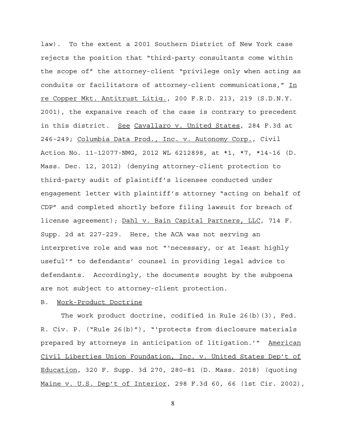law). To the extent a 2001 Southern District of New York case rejects the position that "third-party consultants come within the scope of" the attorney-client "privilege only when acting as conduits or facilitators of attorney-client communications," In re Copper Mkt. Antitrust Litig., 200 F.R.D. 213, 219 (S.D.N.Y. 2001), the expansive reach of the case is contrary to precedent in this district. See Cavallaro v. United States, 284 F.3d at 246-249; Columbia Data Prod., Inc. v. Autonomy Corp., Civil Action No. 11-12077-NMG, 2012 WL 6212898, at \*1, \*7, \*14-16 (D. Mass. Dec. 12, 2012) (denying attorney-client protection to third-party audit of plaintiff's licensee conducted under engagement letter with plaintiff's attorney "acting on behalf of CDP" and completed shortly before filing lawsuit for breach of license agreement); Dahl v. Bain Capital Partners, LLC, 714 F. Supp. 2d at 227-229. Here, the ACA was not serving an interpretive role and was not "'necessary, or at least highly useful'" to defendants' counsel in providing legal advice to defendants. Accordingly, the documents sought by the subpoena are not subject to attorney-client protection.

# B. Work-Product Doctrine

The work product doctrine, codified in Rule 26(b)(3), Fed. R. Civ. P. ("Rule 26(b)"), "'protects from disclosure materials prepared by attorneys in anticipation of litigation.'" American Civil Liberties Union Foundation, Inc. v. United States Dep't of Education, 320 F. Supp. 3d 270, 280–81 (D. Mass. 2018) (quoting Maine v. U.S. Dep't of Interior, 298 F.3d 60, 66 (1st Cir. 2002),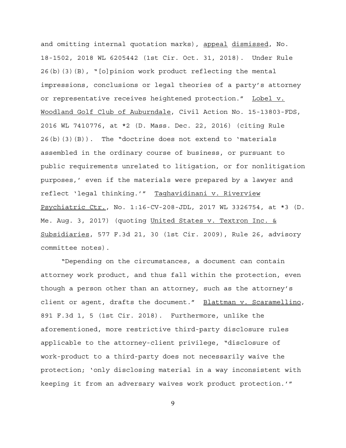and omitting internal quotation marks), appeal dismissed, No. 18-1502, 2018 WL 6205442 (1st Cir. Oct. 31, 2018). Under Rule 26(b)(3)(B), "[o]pinion work product reflecting the mental impressions, conclusions or legal theories of a party's attorney or representative receives heightened protection." Lobel v. Woodland Golf Club of Auburndale, Civil Action No. 15-13803-FDS, 2016 WL 7410776, at \*2 (D. Mass. Dec. 22, 2016) (citing Rule  $26(b)(3)(B)$ . The "doctrine does not extend to 'materials assembled in the ordinary course of business, or pursuant to public requirements unrelated to litigation, or for nonlitigation purposes,' even if the materials were prepared by a lawyer and reflect 'legal thinking.'" Taghavidinani v. Riverview Psychiatric Ctr., No. 1:16-CV-208-JDL, 2017 WL 3326754, at \*3 (D. Me. Aug. 3, 2017) (quoting United States v. Textron Inc. & Subsidiaries, 577 F.3d 21, 30 (1st Cir. 2009), Rule 26, advisory committee notes).

"Depending on the circumstances, a document can contain attorney work product, and thus fall within the protection, even though a person other than an attorney, such as the attorney's client or agent, drafts the document." Blattman v. Scaramellino, 891 F.3d 1, 5 (1st Cir. 2018). Furthermore, unlike the aforementioned, more restrictive third-party disclosure rules applicable to the attorney-client privilege, "disclosure of work-product to a third-party does not necessarily waive the protection; 'only disclosing material in a way inconsistent with keeping it from an adversary waives work product protection.'"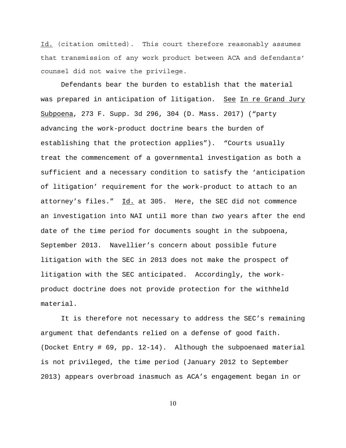Id. (citation omitted). This court therefore reasonably assumes that transmission of any work product between ACA and defendants' counsel did not waive the privilege.

Defendants bear the burden to establish that the material was prepared in anticipation of litigation. See In re Grand Jury Subpoena, 273 F. Supp. 3d 296, 304 (D. Mass. 2017) ("party advancing the work-product doctrine bears the burden of establishing that the protection applies"). "Courts usually treat the commencement of a governmental investigation as both a sufficient and a necessary condition to satisfy the 'anticipation of litigation' requirement for the work-product to attach to an attorney's files." Id. at 305. Here, the SEC did not commence an investigation into NAI until more than *two* years after the end date of the time period for documents sought in the subpoena, September 2013. Navellier's concern about possible future litigation with the SEC in 2013 does not make the prospect of litigation with the SEC anticipated. Accordingly, the workproduct doctrine does not provide protection for the withheld material.

It is therefore not necessary to address the SEC's remaining argument that defendants relied on a defense of good faith. (Docket Entry # 69, pp. 12-14). Although the subpoenaed material is not privileged, the time period (January 2012 to September 2013) appears overbroad inasmuch as ACA's engagement began in or